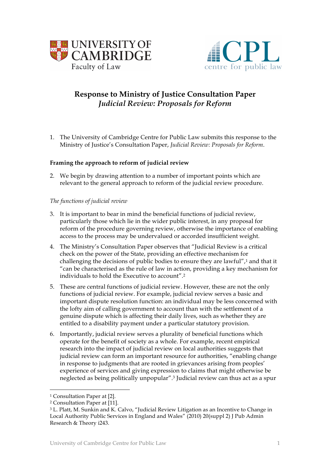



# **Response to Ministry of Justice Consultation Paper** *Judicial Review: Proposals for Reform*

1. The University of Cambridge Centre for Public Law submits this response to the Ministry of Justice's Consultation Paper, *Judicial Review: Proposals for Reform*.

# **Framing the approach to reform of judicial review**

2. We begin by drawing attention to a number of important points which are relevant to the general approach to reform of the judicial review procedure.

# *The functions of judicial review*

- 3. It is important to bear in mind the beneficial functions of judicial review, particularly those which lie in the wider public interest, in any proposal for reform of the procedure governing review, otherwise the importance of enabling access to the process may be undervalued or accorded insufficient weight.
- 4. The Ministry's Consultation Paper observes that "Judicial Review is a critical check on the power of the State, providing an effective mechanism for challenging the decisions of public bodies to ensure they are lawful",1 and that it "can be characterised as the rule of law in action, providing a key mechanism for individuals to hold the Executive to account".2
- 5. These are central functions of judicial review. However, these are not the only functions of judicial review. For example, judicial review serves a basic and important dispute resolution function: an individual may be less concerned with the lofty aim of calling government to account than with the settlement of a genuine dispute which is affecting their daily lives, such as whether they are entitled to a disability payment under a particular statutory provision.
- 6. Importantly, judicial review serves a plurality of beneficial functions which operate for the benefit of society as a whole. For example, recent empirical research into the impact of judicial review on local authorities suggests that judicial review can form an important resource for authorities, "enabling change in response to judgments that are rooted in grievances arising from peoples' experience of services and giving expression to claims that might otherwise be neglected as being politically unpopular".3 Judicial review can thus act as a spur

 <sup>1</sup> Consultation Paper at [2].

<sup>2</sup> Consultation Paper at [11].

<sup>3</sup> L. Platt, M. Sunkin and K. Calvo, "Judicial Review Litigation as an Incentive to Change in Local Authority Public Services in England and Wales" (2010) 20(suppl 2) J Pub Admin Research & Theory i243.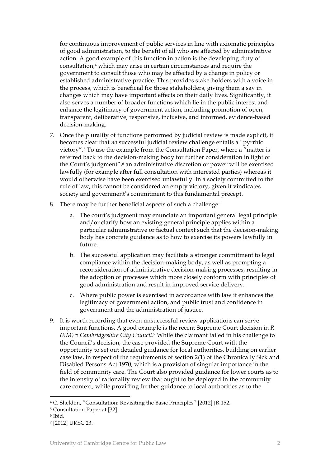for continuous improvement of public services in line with axiomatic principles of good administration, to the benefit of all who are affected by administrative action. A good example of this function in action is the developing duty of consultation,4 which may arise in certain circumstances and require the government to consult those who may be affected by a change in policy or established administrative practice. This provides stake-holders with a voice in the process, which is beneficial for those stakeholders, giving them a say in changes which may have important effects on their daily lives. Significantly, it also serves a number of broader functions which lie in the public interest and enhance the legitimacy of government action, including promotion of open, transparent, deliberative, responsive, inclusive, and informed, evidence-based decision-making.

- 7. Once the plurality of functions performed by judicial review is made explicit, it becomes clear that *no* successful judicial review challenge entails a "pyrrhic victory".5 To use the example from the Consultation Paper, where a "matter is referred back to the decision-making body for further consideration in light of the Court's judgment",<sup>6</sup> an administrative discretion or power will be exercised lawfully (for example after full consultation with interested parties) whereas it would otherwise have been exercised unlawfully. In a society committed to the rule of law, this cannot be considered an empty victory, given it vindicates society and government's commitment to this fundamental precept.
- 8. There may be further beneficial aspects of such a challenge:
	- a. The court's judgment may enunciate an important general legal principle and/or clarify how an existing general principle applies within a particular administrative or factual context such that the decision-making body has concrete guidance as to how to exercise its powers lawfully in future.
	- b. The successful application may facilitate a stronger commitment to legal compliance within the decision-making body, as well as prompting a reconsideration of administrative decision-making processes, resulting in the adoption of processes which more closely conform with principles of good administration and result in improved service delivery.
	- c. Where public power is exercised in accordance with law it enhances the legitimacy of government action, and public trust and confidence in government and the administration of justice.
- 9. It is worth recording that even unsuccessful review applications can serve important functions. A good example is the recent Supreme Court decision in *R (KM) v Cambridgeshire City Council*.7 While the claimant failed in his challenge to the Council's decision, the case provided the Supreme Court with the opportunity to set out detailed guidance for local authorities, building on earlier case law, in respect of the requirements of section 2(1) of the Chronically Sick and Disabled Persons Act 1970, which is a provision of singular importance in the field of community care. The Court also provided guidance for lower courts as to the intensity of rationality review that ought to be deployed in the community care context, while providing further guidance to local authorities as to the

 <sup>4</sup> C. Sheldon, "Consultation: Revisiting the Basic Principles" [2012] JR 152.

<sup>5</sup> Consultation Paper at [32].

<sup>6</sup> Ibid.

<sup>7</sup> [2012] UKSC 23.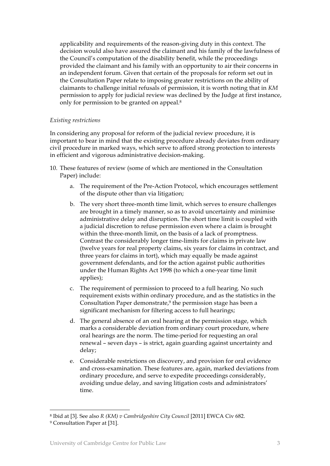applicability and requirements of the reason-giving duty in this context. The decision would also have assured the claimant and his family of the lawfulness of the Council's computation of the disability benefit, while the proceedings provided the claimant and his family with an opportunity to air their concerns in an independent forum. Given that certain of the proposals for reform set out in the Consultation Paper relate to imposing greater restrictions on the ability of claimants to challenge initial refusals of permission, it is worth noting that in *KM* permission to apply for judicial review was declined by the Judge at first instance, only for permission to be granted on appeal.8

## *Existing restrictions*

In considering any proposal for reform of the judicial review procedure, it is important to bear in mind that the existing procedure already deviates from ordinary civil procedure in marked ways, which serve to afford strong protection to interests in efficient and vigorous administrative decision-making.

- 10. These features of review (some of which are mentioned in the Consultation Paper) include:
	- a. The requirement of the Pre-Action Protocol, which encourages settlement of the dispute other than via litigation;
	- b. The very short three-month time limit, which serves to ensure challenges are brought in a timely manner, so as to avoid uncertainty and minimise administrative delay and disruption. The short time limit is coupled with a judicial discretion to refuse permission even where a claim is brought within the three-month limit, on the basis of a lack of promptness. Contrast the considerably longer time-limits for claims in private law (twelve years for real property claims, six years for claims in contract, and three years for claims in tort), which may equally be made against government defendants, and for the action against public authorities under the Human Rights Act 1998 (to which a one-year time limit applies);
	- c. The requirement of permission to proceed to a full hearing. No such requirement exists within ordinary procedure, and as the statistics in the Consultation Paper demonstrate,<sup>9</sup> the permission stage has been a significant mechanism for filtering access to full hearings;
	- d. The general absence of an oral hearing at the permission stage, which marks a considerable deviation from ordinary court procedure, where oral hearings are the norm. The time-period for requesting an oral renewal – seven days – is strict, again guarding against uncertainty and delay;
	- e. Considerable restrictions on discovery, and provision for oral evidence and cross-examination. These features are, again, marked deviations from ordinary procedure, and serve to expedite proceedings considerably, avoiding undue delay, and saving litigation costs and administrators' time.

 <sup>8</sup> Ibid at [3]. See also *R (KM) v Cambridgeshire City Council* [2011] EWCA Civ 682.

<sup>9</sup> Consultation Paper at [31].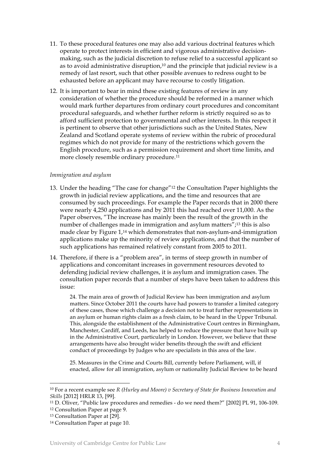- 11. To these procedural features one may also add various doctrinal features which operate to protect interests in efficient and vigorous administrative decisionmaking, such as the judicial discretion to refuse relief to a successful applicant so as to avoid administrative disruption,10 and the principle that judicial review is a remedy of last resort, such that other possible avenues to redress ought to be exhausted before an applicant may have recourse to costly litigation.
- 12. It is important to bear in mind these existing features of review in any consideration of whether the procedure should be reformed in a manner which would mark further departures from ordinary court procedures and concomitant procedural safeguards, and whether further reform is strictly required so as to afford sufficient protection to governmental and other interests. In this respect it is pertinent to observe that other jurisdictions such as the United States, New Zealand and Scotland operate systems of review within the rubric of procedural regimes which do not provide for many of the restrictions which govern the English procedure, such as a permission requirement and short time limits, and more closely resemble ordinary procedure.11

## *Immigration and asylum*

- 13. Under the heading "The case for change"12 the Consultation Paper highlights the growth in judicial review applications, and the time and resources that are consumed by such proceedings. For example the Paper records that in 2000 there were nearly 4,250 applications and by 2011 this had reached over 11,000. As the Paper observes, "The increase has mainly been the result of the growth in the number of challenges made in immigration and asylum matters";13 this is also made clear by Figure 1,14 which demonstrates that non-asylum-and-immigration applications make up the minority of review applications, and that the number of such applications has remained relatively constant from 2005 to 2011.
- 14. Therefore, if there is a "problem area", in terms of steep growth in number of applications and concomitant increases in government resources devoted to defending judicial review challenges, it is asylum and immigration cases. The consultation paper records that a number of steps have been taken to address this issue:

24. The main area of growth of Judicial Review has been immigration and asylum matters. Since October 2011 the courts have had powers to transfer a limited category of these cases, those which challenge a decision not to treat further representations in an asylum or human rights claim as a fresh claim, to be heard in the Upper Tribunal. This, alongside the establishment of the Administrative Court centres in Birmingham, Manchester, Cardiff, and Leeds, has helped to reduce the pressure that have built up in the Administrative Court, particularly in London. However, we believe that these arrangements have also brought wider benefits through the swift and efficient conduct of proceedings by Judges who are specialists in this area of the law.

25. Measures in the Crime and Courts Bill, currently before Parliament, will, if enacted, allow for all immigration, asylum or nationality Judicial Review to be heard

 <sup>10</sup> For a recent example see *R (Hurley and Moore) v Secretary of State for Business Innovation and Skills* [2012] HRLR 13, [99].

<sup>11</sup> D. Oliver, "Public law procedures and remedies - do we need them?" [2002] PL 91, 106-109. <sup>12</sup> Consultation Paper at page 9.

<sup>13</sup> Consultation Paper at [29].

<sup>14</sup> Consultation Paper at page 10.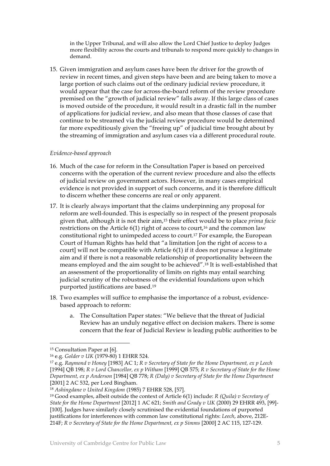in the Upper Tribunal, and will also allow the Lord Chief Justice to deploy Judges more flexibility across the courts and tribunals to respond more quickly to changes in demand.

15. Given immigration and asylum cases have been *the* driver for the growth of review in recent times, and given steps have been and are being taken to move a large portion of such claims out of the ordinary judicial review procedure, it would appear that the case for across-the-board reform of the review procedure premised on the "growth of judicial review" falls away. If this large class of cases is moved outside of the procedure, it would result in a drastic fall in the number of applications for judicial review, and also mean that those classes of case that continue to be streamed via the judicial review procedure would be determined far more expeditiously given the "freeing up" of judicial time brought about by the streaming of immigration and asylum cases via a different procedural route.

## *Evidence-based approach*

- 16. Much of the case for reform in the Consultation Paper is based on perceived concerns with the operation of the current review procedure and also the effects of judicial review on government actors. However, in many cases empirical evidence is not provided in support of such concerns, and it is therefore difficult to discern whether these concerns are real or only apparent.
- 17. It is clearly always important that the claims underpinning any proposal for reform are well-founded. This is especially so in respect of the present proposals given that, although it is not their aim,15 their effect would be to place *prima facie* restrictions on the Article 6(1) right of access to court,<sup>16</sup> and the common law constitutional right to unimpeded access to court.17 For example, the European Court of Human Rights has held that "a limitation [on the right of access to a court] will not be compatible with Article 6(1) if it does not pursue a legitimate aim and if there is not a reasonable relationship of proportionality between the means employed and the aim sought to be achieved".18 It is well-established that an assessment of the proportionality of limits on rights may entail searching judicial scrutiny of the robustness of the evidential foundations upon which purported justifications are based.19
- 18. Two examples will suffice to emphasise the importance of a robust, evidencebased approach to reform:
	- a. The Consultation Paper states: "We believe that the threat of Judicial Review has an unduly negative effect on decision makers. There is some concern that the fear of Judicial Review is leading public authorities to be

 <sup>15</sup> Consultation Paper at [6].

<sup>16</sup> e.g. *Golder v UK* (1979-80) 1 EHRR 524.

<sup>17</sup> e.g. *Raymond v Honey* [1983] AC 1; *R v Secretary of State for the Home Department, ex p Leech* [1994] QB 198; *R v Lord Chancellor, ex p Witham* [1999] QB 575; *R v Secretary of State for the Home Department, ex p Anderson* [1984] QB 778; *R (Daly) v Secretary of State for the Home Department* [2001] 2 AC 532, per Lord Bingham.

<sup>18</sup> *Ashingdane v United Kingdom* (1985) 7 EHRR 528, [57].

<sup>19</sup> Good examples, albeit outside the context of Article 6(1) include: *R (Quila) v Secretary of State for the Home Department* [2012] 1 AC 621; *Smith and Grady v UK* (2000) 29 EHRR 493, [99]- [100]. Judges have similarly closely scrutinised the evidential foundations of purported justifications for interferences with common law constitutional rights: *Leech*, above, 212E-214F; *R v Secretary of State for the Home Department, ex p Simms* [2000] 2 AC 115, 127-129.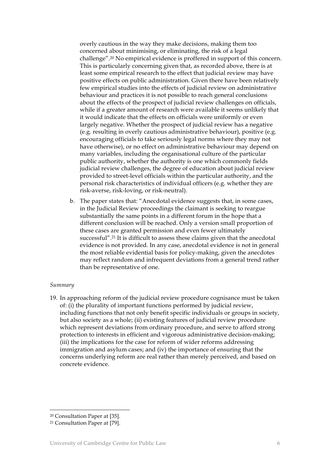overly cautious in the way they make decisions, making them too concerned about minimising, or eliminating, the risk of a legal challenge".20 No empirical evidence is proffered in support of this concern. This is particularly concerning given that, as recorded above, there is at least some empirical research to the effect that judicial review may have positive effects on public administration. Given there have been relatively few empirical studies into the effects of judicial review on administrative behaviour and practices it is not possible to reach general conclusions about the effects of the prospect of judicial review challenges on officials, while if a greater amount of research were available it seems unlikely that it would indicate that the effects on officials were uniformly or even largely negative. Whether the prospect of judicial review has a negative (e.g. resulting in overly cautious administrative behaviour), positive (e.g. encouraging officials to take seriously legal norms where they may not have otherwise), or no effect on administrative behaviour may depend on many variables, including the organisational culture of the particular public authority, whether the authority is one which commonly fields judicial review challenges, the degree of education about judicial review provided to street-level officials within the particular authority, and the personal risk characteristics of individual officers (e.g. whether they are risk-averse, risk-loving, or risk-neutral).

b. The paper states that: "Anecdotal evidence suggests that, in some cases, in the Judicial Review proceedings the claimant is seeking to reargue substantially the same points in a different forum in the hope that a different conclusion will be reached. Only a version small proportion of these cases are granted permission and even fewer ultimately successful".21 It is difficult to assess these claims given that the anecdotal evidence is not provided. In any case, anecdotal evidence is not in general the most reliable evidential basis for policy-making, given the anecdotes may reflect random and infrequent deviations from a general trend rather than be representative of one.

## *Summary*

19. In approaching reform of the judicial review procedure cognisance must be taken of: (i) the plurality of important functions performed by judicial review, including functions that not only benefit specific individuals or groups in society, but also society as a whole; (ii) existing features of judicial review procedure which represent deviations from ordinary procedure, and serve to afford strong protection to interests in efficient and vigorous administrative decision-making; (iii) the implications for the case for reform of wider reforms addressing immigration and asylum cases; and (iv) the importance of ensuring that the concerns underlying reform are real rather than merely perceived, and based on concrete evidence.

 <sup>20</sup> Consultation Paper at [35].

<sup>21</sup> Consultation Paper at [79].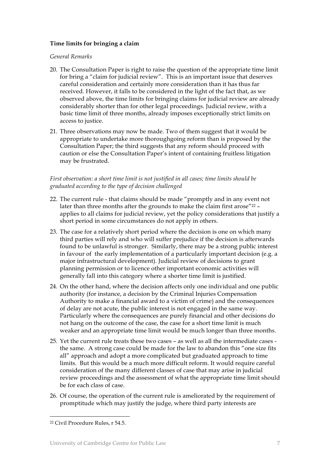# **Time limits for bringing a claim**

## *General Remarks*

- 20. The Consultation Paper is right to raise the question of the appropriate time limit for bring a "claim for judicial review". This is an important issue that deserves careful consideration and certainly more consideration than it has thus far received. However, it falls to be considered in the light of the fact that, as we observed above, the time limits for bringing claims for judicial review are already considerably shorter than for other legal proceedings. Judicial review, with a basic time limit of three months, already imposes exceptionally strict limits on access to justice.
- 21. Three observations may now be made. Two of them suggest that it would be appropriate to undertake more thoroughgoing reform than is proposed by the Consultation Paper; the third suggests that any reform should proceed with caution or else the Consultation Paper's intent of containing fruitless litigation may be frustrated.

*First observation: a short time limit is not justified in all cases; time limits should be graduated according to the type of decision challenged*

- 22. The current rule that claims should be made "promptly and in any event not later than three months after the grounds to make the claim first arose"22 – applies to all claims for judicial review, yet the policy considerations that justify a short period in some circumstances do not apply in others.
- 23. The case for a relatively short period where the decision is one on which many third parties will rely and who will suffer prejudice if the decision is afterwards found to be unlawful is stronger. Similarly, there may be a strong public interest in favour of the early implementation of a particularly important decision (e.g. a major infrastructural development). Judicial review of decisions to grant planning permission or to licence other important economic activities will generally fall into this category where a shorter time limit is justified.
- 24. On the other hand, where the decision affects only one individual and one public authority (for instance, a decision by the Criminal Injuries Compensation Authority to make a financial award to a victim of crime) and the consequences of delay are not acute, the public interest is not engaged in the same way. Particularly where the consequences are purely financial and other decisions do not hang on the outcome of the case, the case for a short time limit is much weaker and an appropriate time limit would be much longer than three months.
- 25. Yet the current rule treats these two cases as well as all the intermediate cases the same. A strong case could be made for the law to abandon this "one size fits all" approach and adopt a more complicated but graduated approach to time limits. But this would be a much more difficult reform. It would require careful consideration of the many different classes of case that may arise in judicial review proceedings and the assessment of what the appropriate time limit should be for each class of case.
- 26. Of course, the operation of the current rule is ameliorated by the requirement of promptitude which may justify the judge, where third party interests are

 <sup>22</sup> Civil Procedure Rules, r 54.5.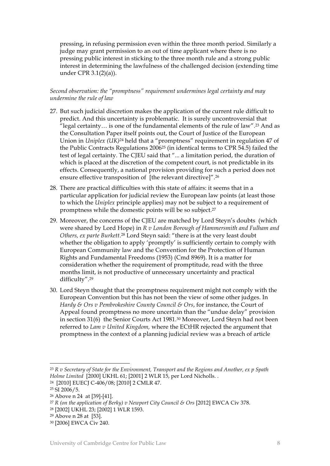pressing, in refusing permission even within the three month period. Similarly a judge may grant permission to an out of time applicant where there is no pressing public interest in sticking to the three month rule and a strong public interest in determining the lawfulness of the challenged decision (extending time under CPR 3.1(2)(a)).

## *Second observation: the "promptness" requirement undermines legal certainty and may undermine the rule of law*

- 27. But such judicial discretion makes the application of the current rule difficult to predict. And this uncertainty is problematic. It is surely uncontroversial that "legal certainty… is one of the fundamental elements of the rule of law".23 And as the Consultation Paper itself points out, the Court of Justice of the European Union in *Uniplex (UK)*<sup>24</sup> held that a "promptness" requirement in regulation 47 of the Public Contracts Regulations 200625 (in identical terms to CPR 54.5) failed the test of legal certainty. The CJEU said that "... a limitation period, the duration of which is placed at the discretion of the competent court, is not predictable in its effects. Consequently, a national provision providing for such a period does not ensure effective transposition of [the relevant directive]".26
- 28. There are practical difficulties with this state of affairs: it seems that in a particular application for judicial review the European law points (at least those to which the *Uniplex* principle applies) may not be subject to a requirement of promptness while the domestic points will be so subject.27
- 29. Moreover, the concerns of the CJEU are matched by Lord Steyn's doubts (which were shared by Lord Hope) in *R v London Borough of Hammersmith and Fulham and Others, ex parte Burkett*.28 Lord Steyn said: "there is at the very least doubt whether the obligation to apply 'promptly' is sufficiently certain to comply with European Community law and the Convention for the Protection of Human Rights and Fundamental Freedoms (1953) (Cmd 8969). It is a matter for consideration whether the requirement of promptitude, read with the three months limit, is not productive of unnecessary uncertainty and practical difficulty".29
- 30. Lord Steyn thought that the promptness requirement might not comply with the European Convention but this has not been the view of some other judges. In *Hardy & Ors v Pembrokeshire County Council & Ors*, for instance, the Court of Appeal found promptness no more uncertain than the "undue delay" provision in section 31(6) the Senior Courts Act 1981.30 Moreover, Lord Steyn had not been referred to *Lam v United Kingdom,* where the ECtHR rejected the argument that promptness in the context of a planning judicial review was a breach of article

<sup>29</sup> Above n 28 at [53].

 <sup>23</sup> *R v Secretary of State for the Environment, Transport and the Regions and Another, ex p Spath Holme Limited* [2000] UKHL 61; [2001] 2 WLR 15, per Lord Nicholls. .

<sup>24</sup> [2010] EUECJ C-406/08; [2010] 2 CMLR 47.

<sup>25</sup> SI 2006/5.

<sup>26</sup> Above n 24 at [39]-[41].

<sup>27</sup> *R (on the application of Berky) v Newport City Council & Ors* [2012] EWCA Civ 378.

<sup>28</sup> [2002] UKHL 23; [2002] 1 WLR 1593.

<sup>30</sup> [2006] EWCA Civ 240.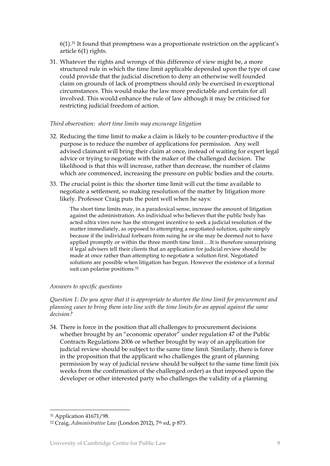6(1).31 It found that promptness was a proportionate restriction on the applicant's article 6(1) rights.

31. Whatever the rights and wrongs of this difference of view might be, a more structured rule in which the time limit applicable depended upon the type of case could provide that the judicial discretion to deny an otherwise well founded claim on grounds of lack of promptness should only be exercised in exceptional circumstances. This would make the law more predictable and certain for all involved. This would enhance the rule of law although it may be criticised for restricting judicial freedom of action.

## *Third observation: short time limits may encourage litigation*

- 32. Reducing the time limit to make a claim is likely to be counter-productive if the purpose is to reduce the number of applications for permission. Any well advised claimant will bring their claim at once, instead of waiting for expert legal advice or trying to negotiate with the maker of the challenged decision. The likelihood is that this will increase, rather than decrease, the number of claims which are commenced, increasing the pressure on public bodies and the courts.
- 33. The crucial point is this: the shorter time limit will cut the time available to negotiate a settlement, so making resolution of the matter by litigation more likely. Professor Craig puts the point well when he says:

The short time limits may, in a paradoxical sense, increase the amount of litigation against the administration. An individual who believes that the public body has acted ultra vires now has the strongest incentive to seek a judicial resolution of the matter immediately, as opposed to attempting a negotiated solution, quite simply because if the individual forbears from suing he or she may be deemed not to have applied promptly or within the three month time limit….It is therefore unsurprising if legal advisers tell their clients that an application for judicial review should be made at once rather than attempting to negotiate a solution first. Negotiated solutions are possible when litigation has begun. However the existence of a formal suit can polarise positions.32

# *Answers to specific questions*

*Question 1: Do you agree that it is appropriate to shorten the time limit for procurement and planning cases to bring them into line with the time limits for an appeal against the same decision?* 

34. There is force in the position that all challenges to procurement decisions whether brought by an "economic operator" under regulation 47 of the Public Contracts Regulations 2006 or whether brought by way of an application for judicial review should be subject to the same time limit. Similarly, there is force in the proposition that the applicant who challenges the grant of planning permission by way of judicial review should be subject to the same time limit (six weeks from the confirmation of the challenged order) as that imposed upon the developer or other interested party who challenges the validity of a planning

 <sup>31</sup> Application 41671/98.

<sup>&</sup>lt;sup>32</sup> Craig, *Administrative Law* (London 2012), 7<sup>th</sup> ed, p 873.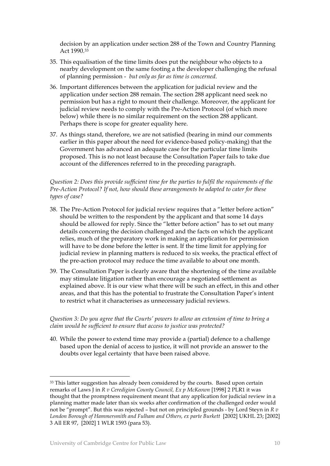decision by an application under section 288 of the Town and Country Planning Act 1990.33

- 35. This equalisation of the time limits does put the neighbour who objects to a nearby development on the same footing a the developer challenging the refusal of planning permission - *but only as far as time is concerned*.
- 36. Important differences between the application for judicial review and the application under section 288 remain. The section 288 applicant need seek no permission but has a right to mount their challenge. Moreover, the applicant for judicial review needs to comply with the Pre-Action Protocol (of which more below) while there is no similar requirement on the section 288 applicant. Perhaps there is scope for greater equality here.
- 37. As things stand, therefore, we are not satisfied (bearing in mind our comments earlier in this paper about the need for evidence-based policy-making) that the Government has advanced an adequate case for the particular time limits proposed. This is no not least because the Consultation Paper fails to take due account of the differences referred to in the preceding paragraph.

# *Question 2: Does this provide sufficient time for the parties to fulfil the requirements of the Pre-Action Protocol? If not, how should these arrangements be adapted to cater for these types of case?*

- 38. The Pre-Action Protocol for judicial review requires that a "letter before action" should be written to the respondent by the applicant and that some 14 days should be allowed for reply. Since the "letter before action" has to set out many details concerning the decision challenged and the facts on which the applicant relies, much of the preparatory work in making an application for permission will have to be done before the letter is sent. If the time limit for applying for judicial review in planning matters is reduced to six weeks, the practical effect of the pre-action protocol may reduce the time available to about one month.
- 39. The Consultation Paper is clearly aware that the shortening of the time available may stimulate litigation rather than encourage a negotiated settlement as explained above. It is our view what there will be such an effect, in this and other areas, and that this has the potential to frustrate the Consultation Paper's intent to restrict what it characterises as unnecessary judicial reviews.

*Question 3: Do you agree that the Courts' powers to allow an extension of time to bring a claim would be sufficient to ensure that access to justice was protected?* 

40. While the power to extend time may provide a (partial) defence to a challenge based upon the denial of access to justice, it will not provide an answer to the doubts over legal certainty that have been raised above.

<sup>&</sup>lt;sup>33</sup> This latter suggestion has already been considered by the courts. Based upon certain remarks of Laws J in *R v Ceredigion County Council, Ex p McKeown* [1998] 2 PLR1 it was thought that the promptness requirement meant that any application for judicial review in a planning matter made later than six weeks after confirmation of the challenged order would not be "prompt". But this was rejected – but not on principled grounds - by Lord Steyn in *R v London Borough of Hammersmith and Fulham and Others, ex parte Burkett* [2002] UKHL 23; [2002] 3 All ER 97, [2002] 1 WLR 1593 (para 53).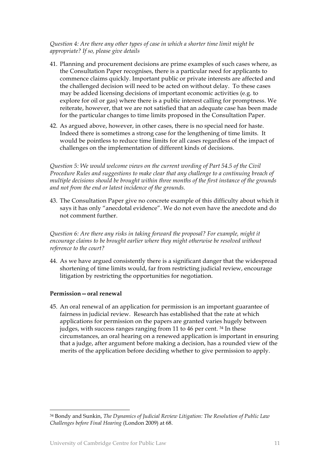## *Question 4: Are there any other types of case in which a shorter time limit might be appropriate? If so, please give details*

- 41. Planning and procurement decisions are prime examples of such cases where, as the Consultation Paper recognises, there is a particular need for applicants to commence claims quickly. Important public or private interests are affected and the challenged decision will need to be acted on without delay. To these cases may be added licensing decisions of important economic activities (e.g. to explore for oil or gas) where there is a public interest calling for promptness. We reiterate, however, that we are not satisfied that an adequate case has been made for the particular changes to time limits proposed in the Consultation Paper.
- 42. As argued above, however, in other cases, there is no special need for haste. Indeed there is sometimes a strong case for the lengthening of time limits. It would be pointless to reduce time limits for all cases regardless of the impact of challenges on the implementation of different kinds of decisions.

*Question 5: We would welcome views on the current wording of Part 54.5 of the Civil Procedure Rules and suggestions to make clear that any challenge to a continuing breach of multiple decisions should be brought within three months of the first instance of the grounds and not from the end or latest incidence of the grounds.* 

43. The Consultation Paper give no concrete example of this difficulty about which it says it has only "anecdotal evidence". We do not even have the anecdote and do not comment further.

*Question 6: Are there any risks in taking forward the proposal? For example, might it encourage claims to be brought earlier where they might otherwise be resolved without reference to the court?*

44. As we have argued consistently there is a significant danger that the widespread shortening of time limits would, far from restricting judicial review, encourage litigation by restricting the opportunities for negotiation.

# **Permission—oral renewal**

45. An oral renewal of an application for permission is an important guarantee of fairness in judicial review. Research has established that the rate at which applications for permission on the papers are granted varies hugely between judges, with success ranges ranging from 11 to 46 per cent. 34 In these circumstances, an oral hearing on a renewed application is important in ensuring that a judge, after argument before making a decision, has a rounded view of the merits of the application before deciding whether to give permission to apply.

 <sup>34</sup> Bondy and Sunkin, *The Dynamics of Judicial Review Litigation: The Resolution of Public Law Challenges before Final Hearing* (London 2009) at 68.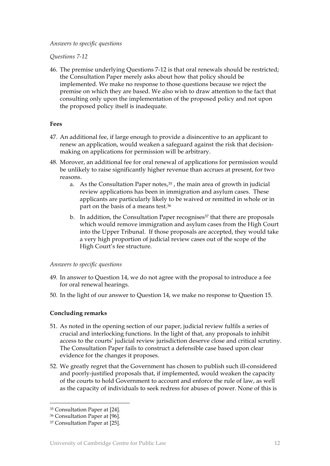## *Answers to specific questions*

*Questions 7-12*

46. The premise underlying Questions 7-12 is that oral renewals should be restricted; the Consultation Paper merely asks about how that policy should be implemented. We make no response to those questions because we reject the premise on which they are based. We also wish to draw attention to the fact that consulting only upon the implementation of the proposed policy and not upon the proposed policy itself is inadequate.

## **Fees**

- 47. An additional fee, if large enough to provide a disincentive to an applicant to renew an application, would weaken a safeguard against the risk that decisionmaking on applications for permission will be arbitrary.
- 48. Morover, an additional fee for oral renewal of applications for permission would be unlikely to raise significantly higher revenue than accrues at present, for two reasons.
	- a. As the Consultation Paper notes,35 , the main area of growth in judicial review applications has been in immigration and asylum cases. These applicants are particularly likely to be waived or remitted in whole or in part on the basis of a means test.36
	- b. In addition, the Consultation Paper recognises  $37$  that there are proposals which would remove immigration and asylum cases from the High Court into the Upper Tribunal. If those proposals are accepted, they would take a very high proportion of judicial review cases out of the scope of the High Court's fee structure.

## *Answers to specific questions*

- 49. In answer to Question 14, we do not agree with the proposal to introduce a fee for oral renewal hearings.
- 50. In the light of our answer to Question 14, we make no response to Question 15.

# **Concluding remarks**

- 51. As noted in the opening section of our paper, judicial review fulfils a series of crucial and interlocking functions. In the light of that, any proposals to inhibit access to the courts' judicial review jurisdiction deserve close and critical scrutiny. The Consultation Paper fails to construct a defensible case based upon clear evidence for the changes it proposes.
- 52. We greatly regret that the Government has chosen to publish such ill-considered and poorly-justified proposals that, if implemented, would weaken the capacity of the courts to hold Government to account and enforce the rule of law, as well as the capacity of individuals to seek redress for abuses of power. None of this is

 <sup>35</sup> Consultation Paper at [24].

<sup>36</sup> Consultation Paper at [96].

<sup>37</sup> Consultation Paper at [25].